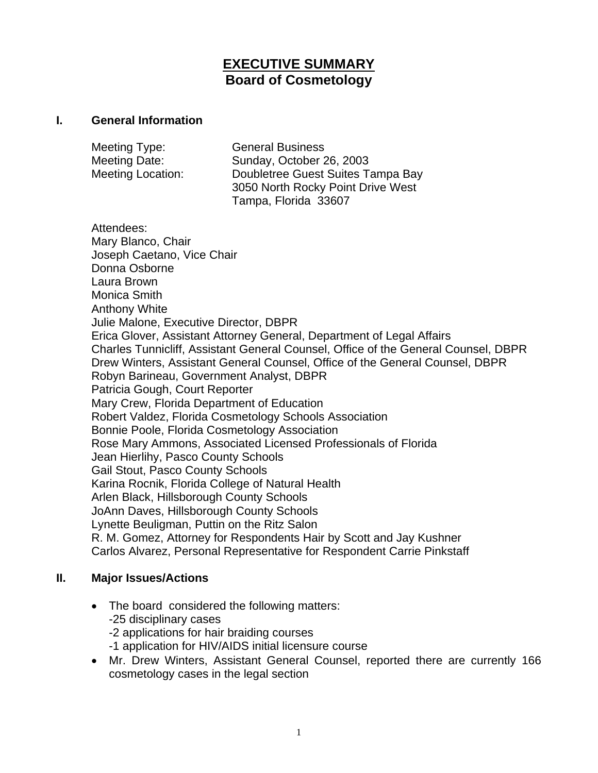# **EXECUTIVE SUMMARY Board of Cosmetology**

#### **I. General Information**

| Meeting Type:            | <b>General Business</b>           |
|--------------------------|-----------------------------------|
| Meeting Date:            | Sunday, October 26, 2003          |
| <b>Meeting Location:</b> | Doubletree Guest Suites Tampa Bay |
|                          | 3050 North Rocky Point Drive West |
|                          | Tampa, Florida 33607              |

Attendees: Mary Blanco, Chair Joseph Caetano, Vice Chair Donna Osborne Laura Brown Monica Smith Anthony White Julie Malone, Executive Director, DBPR Erica Glover, Assistant Attorney General, Department of Legal Affairs Charles Tunnicliff, Assistant General Counsel, Office of the General Counsel, DBPR Drew Winters, Assistant General Counsel, Office of the General Counsel, DBPR Robyn Barineau, Government Analyst, DBPR Patricia Gough, Court Reporter Mary Crew, Florida Department of Education Robert Valdez, Florida Cosmetology Schools Association Bonnie Poole, Florida Cosmetology Association Rose Mary Ammons, Associated Licensed Professionals of Florida Jean Hierlihy, Pasco County Schools Gail Stout, Pasco County Schools Karina Rocnik, Florida College of Natural Health Arlen Black, Hillsborough County Schools JoAnn Daves, Hillsborough County Schools Lynette Beuligman, Puttin on the Ritz Salon R. M. Gomez, Attorney for Respondents Hair by Scott and Jay Kushner Carlos Alvarez, Personal Representative for Respondent Carrie Pinkstaff

#### **II. Major Issues/Actions**

- The board considered the following matters: -25 disciplinary cases -2 applications for hair braiding courses -1 application for HIV/AIDS initial licensure course
- Mr. Drew Winters, Assistant General Counsel, reported there are currently 166 cosmetology cases in the legal section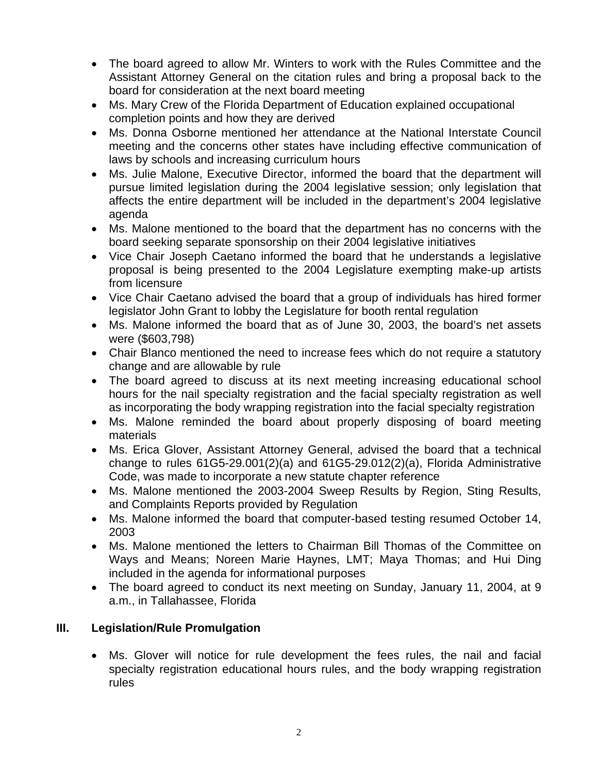- The board agreed to allow Mr. Winters to work with the Rules Committee and the Assistant Attorney General on the citation rules and bring a proposal back to the board for consideration at the next board meeting
- Ms. Mary Crew of the Florida Department of Education explained occupational completion points and how they are derived
- Ms. Donna Osborne mentioned her attendance at the National Interstate Council meeting and the concerns other states have including effective communication of laws by schools and increasing curriculum hours
- Ms. Julie Malone, Executive Director, informed the board that the department will pursue limited legislation during the 2004 legislative session; only legislation that affects the entire department will be included in the department's 2004 legislative agenda
- Ms. Malone mentioned to the board that the department has no concerns with the board seeking separate sponsorship on their 2004 legislative initiatives
- Vice Chair Joseph Caetano informed the board that he understands a legislative proposal is being presented to the 2004 Legislature exempting make-up artists from licensure
- Vice Chair Caetano advised the board that a group of individuals has hired former legislator John Grant to lobby the Legislature for booth rental regulation
- Ms. Malone informed the board that as of June 30, 2003, the board's net assets were (\$603,798)
- Chair Blanco mentioned the need to increase fees which do not require a statutory change and are allowable by rule
- The board agreed to discuss at its next meeting increasing educational school hours for the nail specialty registration and the facial specialty registration as well as incorporating the body wrapping registration into the facial specialty registration
- Ms. Malone reminded the board about properly disposing of board meeting materials
- Ms. Erica Glover, Assistant Attorney General, advised the board that a technical change to rules 61G5-29.001(2)(a) and 61G5-29.012(2)(a), Florida Administrative Code, was made to incorporate a new statute chapter reference
- Ms. Malone mentioned the 2003-2004 Sweep Results by Region, Sting Results, and Complaints Reports provided by Regulation
- Ms. Malone informed the board that computer-based testing resumed October 14, 2003
- Ms. Malone mentioned the letters to Chairman Bill Thomas of the Committee on Ways and Means; Noreen Marie Haynes, LMT; Maya Thomas; and Hui Ding included in the agenda for informational purposes
- The board agreed to conduct its next meeting on Sunday, January 11, 2004, at 9 a.m., in Tallahassee, Florida

### **III. Legislation/Rule Promulgation**

• Ms. Glover will notice for rule development the fees rules, the nail and facial specialty registration educational hours rules, and the body wrapping registration rules